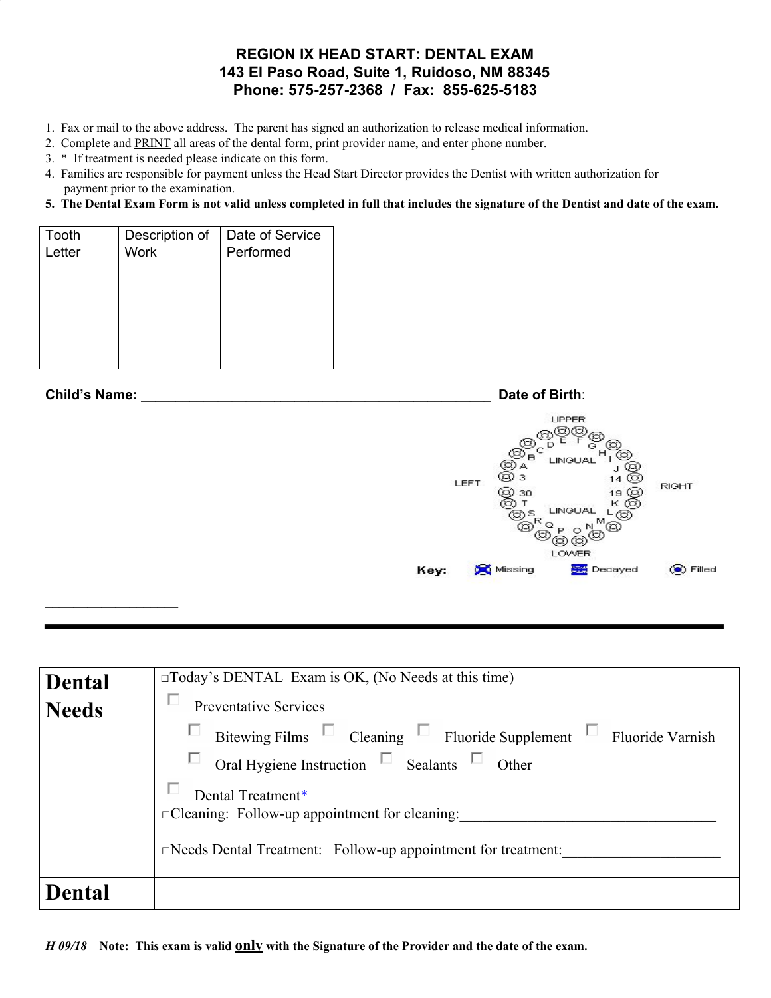## **REGION IX HEAD START: DENTAL EXAM 143 El Paso Road, Suite 1, Ruidoso, NM 88345 Phone: 575-257-2368 / Fax: 855-625-5183**

- 1. Fax or mail to the above address. The parent has signed an authorization to release medical information.
- 2. Complete and PRINT all areas of the dental form, print provider name, and enter phone number.
- 3. \* If treatment is needed please indicate on this form.
- 4. Families are responsible for payment unless the Head Start Director provides the Dentist with written authorization for payment prior to the examination.

## 5. The Dental Exam Form is not valid unless completed in full that includes the signature of the Dentist and date of the exam.

| Tooth  | Description of | Date of Service |
|--------|----------------|-----------------|
| Letter | <b>Work</b>    | Performed       |
|        |                |                 |
|        |                |                 |
|        |                |                 |
|        |                |                 |
|        |                |                 |
|        |                |                 |

 $\_$ 

**Child's Name:** \_\_\_\_\_\_\_\_\_\_\_\_\_\_\_\_\_\_\_\_\_\_\_\_\_\_\_\_\_\_\_\_\_\_\_\_\_\_\_\_\_\_\_\_\_\_\_\_\_\_ **Date of Birth**: UPPER Ċ  $\overline{B}$ **LINGUA** LEFT **RIGHT** 30 හ ග LOWER Missing **Decayed O** Filled Key:

| <b>Dental</b> | $\Box$ Today's DENTAL Exam is OK, (No Needs at this time)                     |
|---------------|-------------------------------------------------------------------------------|
|               | L<br>Preventative Services                                                    |
| <b>Needs</b>  |                                                                               |
|               | Bitewing Films $\Box$ Cleaning $\Box$ Fluoride Supplement<br>Fluoride Varnish |
|               | Oral Hygiene Instruction $\Box$ Sealants<br>Other                             |
|               | Dental Treatment*                                                             |
|               | □Cleaning: Follow-up appointment for cleaning:                                |
|               | □Needs Dental Treatment: Follow-up appointment for treatment:                 |
| Dental        |                                                                               |